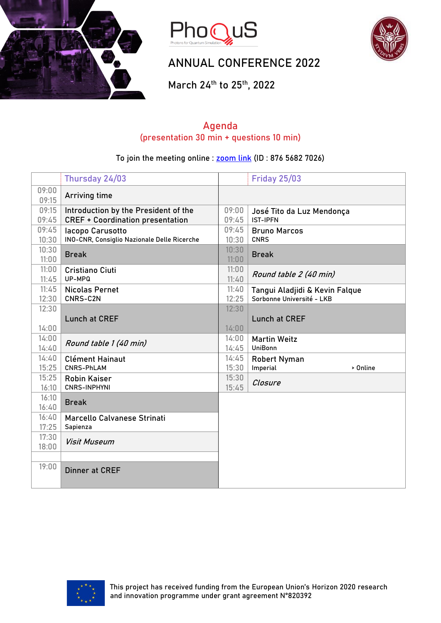





## ANNUAL CONFERENCE 2022

March 24th to 25th, 2022

### **Agenda (presentation 30 min + questions 10 min)**

#### To join the meeting online : [zoom link](https://us02web.zoom.us/j/87656827026) (ID : 876 5682 7026)

|                | Thursday 24/03                                                                  |                | <b>Friday 25/03</b>                                         |
|----------------|---------------------------------------------------------------------------------|----------------|-------------------------------------------------------------|
| 09:00<br>09:15 | <b>Arriving time</b>                                                            |                |                                                             |
| 09:15<br>09:45 | Introduction by the President of the<br><b>CREF + Coordination presentation</b> | 09:00<br>09:45 | José Tito da Luz Mendonça<br><b>IST-IPFN</b>                |
| 09:45<br>10:30 | lacopo Carusotto<br>INO-CNR, Consiglio Nazionale Delle Ricerche                 | 09:45<br>10:30 | <b>Bruno Marcos</b><br><b>CNRS</b>                          |
| 10:30<br>11:00 | <b>Break</b>                                                                    | 10:30<br>11:00 | <b>Break</b>                                                |
| 11:00<br>11:45 | <b>Cristiano Ciuti</b><br>UP-MPQ                                                | 11:00<br>11:40 | Round table 2 (40 min)                                      |
| 11:45<br>12:30 | <b>Nicolas Pernet</b><br>CNRS-C2N                                               | 11:40<br>12:25 | Tangui Aladjidi & Kevin Falque<br>Sorbonne Université - LKB |
| 12:30<br>14:00 | <b>Lunch at CREF</b>                                                            | 12:30<br>14:00 | <b>Lunch at CREF</b>                                        |
| 14:00<br>14:40 | Round table 1 (40 min)                                                          | 14:00<br>14:45 | <b>Martin Weitz</b><br>UniBonn                              |
| 14:40<br>15:25 | <b>Clément Hainaut</b><br><b>CNRS-PhLAM</b>                                     | 14:45<br>15:30 | <b>Robert Nyman</b><br>Imperial<br>> Online                 |
| 15:25<br>16:10 | <b>Robin Kaiser</b><br><b>CNRS-INPHYNI</b>                                      | 15:30<br>15:45 | Closure                                                     |
| 16:10<br>16:40 | <b>Break</b>                                                                    |                |                                                             |
| 16:40<br>17:25 | Marcello Calvanese Strinati<br>Sapienza                                         |                |                                                             |
| 17:30<br>18:00 | <b>Visit Museum</b>                                                             |                |                                                             |
| 19:00          | <b>Dinner at CREF</b>                                                           |                |                                                             |

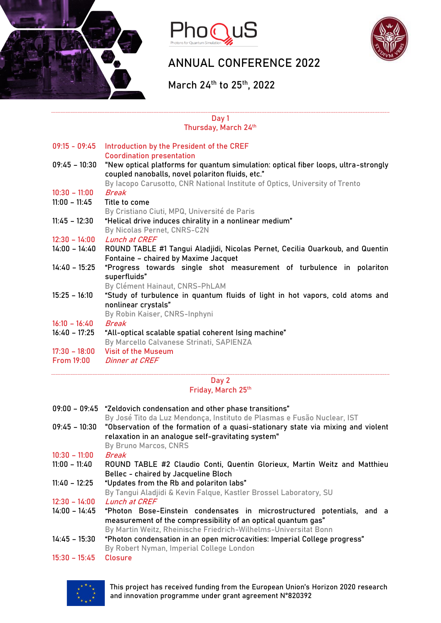





# ANNUAL CONFERENCE 2022

March 24th to 25th, 2022

#### **Day 1 Thursday, March 24th**

| $09:15 - 09:45$   | Introduction by the President of the CREF<br><b>Coordination presentation</b>                                                                                                                                         |
|-------------------|-----------------------------------------------------------------------------------------------------------------------------------------------------------------------------------------------------------------------|
| $09:45 - 10:30$   | "New optical platforms for quantum simulation: optical fiber loops, ultra-strongly<br>coupled nanoballs, novel polariton fluids, etc."<br>By Iacopo Carusotto, CNR National Institute of Optics, University of Trento |
| $10:30 - 11:00$   | Break                                                                                                                                                                                                                 |
| $11:00 - 11:45$   | Title to come<br>By Cristiano Ciuti, MPQ, Université de Paris                                                                                                                                                         |
| $11:45 - 12:30$   | "Helical drive induces chirality in a nonlinear medium"                                                                                                                                                               |
|                   | By Nicolas Pernet, CNRS-C2N                                                                                                                                                                                           |
| $12:30 - 14:00$   | Lunch at CREF                                                                                                                                                                                                         |
| 14:00 - 14:40     | ROUND TABLE #1 Tangui Aladjidi, Nicolas Pernet, Cecilia Ouarkoub, and Quentin<br>Fontaine - chaired by Maxime Jacquet                                                                                                 |
| $14:40 - 15:25$   | "Progress towards single shot measurement of turbulence in polariton<br>superfluids"<br>By Clément Hainaut, CNRS-PhLAM                                                                                                |
| $15:25 - 16:10$   | "Study of turbulence in quantum fluids of light in hot vapors, cold atoms and<br>nonlinear crystals"<br>By Robin Kaiser, CNRS-Inphyni                                                                                 |
| $16:10 - 16:40$   | <b>Break</b>                                                                                                                                                                                                          |
| $16:40 - 17:25$   | "All-optical scalable spatial coherent Ising machine"<br>By Marcello Calvanese Strinati, SAPIENZA                                                                                                                     |
| $17:30 - 18:00$   | <b>Visit of the Museum</b>                                                                                                                                                                                            |
| <b>From 19:00</b> | Dinner at CREF                                                                                                                                                                                                        |

#### **Day 2 Friday, March 25th**

|                 | 09:00 - 09:45 "Zeldovich condensation and other phase transitions"<br>By José Tito da Luz Mendonça, Instituto de Plasmas e Fusão Nuclear, IST |
|-----------------|-----------------------------------------------------------------------------------------------------------------------------------------------|
|                 | 09:45 – 10:30 "Observation of the formation of a quasi-stationary state via mixing and violent                                                |
|                 | relaxation in an analogue self-gravitating system"                                                                                            |
|                 | By Bruno Marcos, CNRS                                                                                                                         |
| $10:30 - 11:00$ | Break                                                                                                                                         |
| $11:00 - 11:40$ | ROUND TABLE #2 Claudio Conti, Quentin Glorieux, Martin Weitz and Matthieu                                                                     |
|                 | Bellec - chaired by Jacqueline Bloch                                                                                                          |
| $11:40 - 12:25$ | "Updates from the Rb and polariton labs"                                                                                                      |
|                 | By Tangui Aladjidi & Kevin Falque, Kastler Brossel Laboratory, SU                                                                             |
| $12:30 - 14:00$ | <b>Lunch at CREF</b>                                                                                                                          |
| $14:00 - 14:45$ | "Photon Bose-Einstein condensates in microstructured potentials, and a                                                                        |
|                 | measurement of the compressibility of an optical quantum gas"                                                                                 |
|                 | By Martin Weitz, Rheinische Friedrich-Wilhelms-Universitat Bonn                                                                               |
| $14:45 - 15:30$ | "Photon condensation in an open microcavities: Imperial College progress"<br>By Robert Nyman, Imperial College London                         |
| $15:30 - 15:45$ | Closure                                                                                                                                       |
|                 |                                                                                                                                               |



This project has received funding from the European Union's Horizon 2020 research and innovation programme under grant agreement N°820392